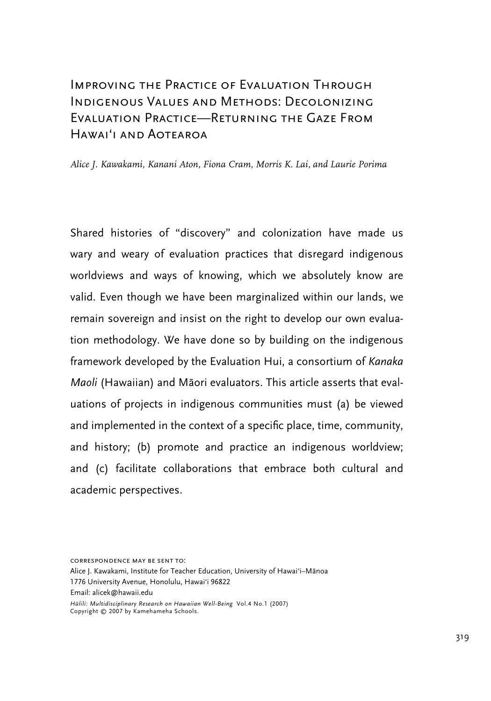# Improving the Practice of Evaluation Through Indigenous Values and Methods: Decolonizing Evaluation Practice—Returning the Gaze From Hawaiÿi and Aotearoa

*Alice J. Kawakami, Kanani Aton, Fiona Cram, Morris K. Lai, and Laurie Porima* 

Shared histories of "discovery" and colonization have made us wary and weary of evaluation practices that disregard indigenous worldviews and ways of knowing, which we absolutely know are valid. Even though we have been marginalized within our lands, we remain sovereign and insist on the right to develop our own evaluation methodology. We have done so by building on the indigenous framework developed by the Evaluation Hui, a consortium of *Kanaka Maoli* (Hawaiian) and Mäori evaluators. This article asserts that evaluations of projects in indigenous communities must (a) be viewed and implemented in the context of a specific place, time, community, and history; (b) promote and practice an indigenous worldview; and (c) facilitate collaborations that embrace both cultural and academic perspectives.

correspondence may be sent to:

Alice J. Kawakami, Institute for Teacher Education, University of Hawaiʻi-Mānoa 1776 University Avenue, Honolulu, Hawaiʻi 96822

Email: alicek@hawaii.edu

*Hülili: Multidisciplinary Research on Hawaiian Well-Being* Vol.4 No.1 (2007) Copyright © 2007 by Kamehameha Schools.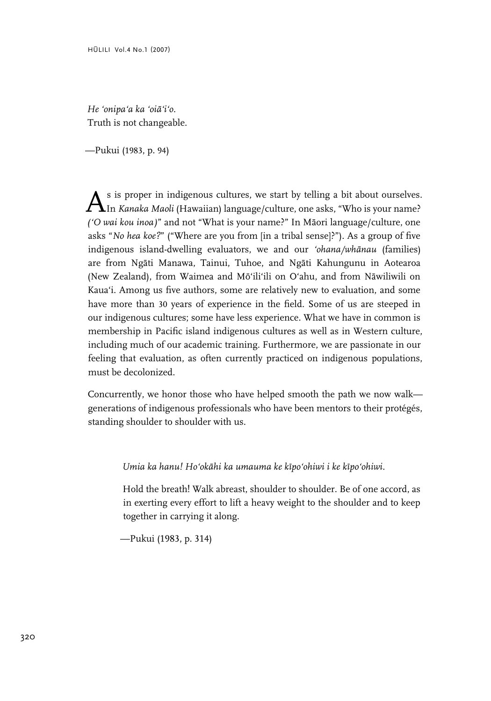*He ÿonipaÿa ka ÿoiäÿiÿo.*  Truth is not changeable.

—Pukui (1983, p. 94)

As is proper in indigenous cultures, we start by telling a bit about ourselves. In *Kanaka Maoli* (Hawaiian) language/culture, one asks, "Who is your name? *(ÿO wai kou inoa)*" and not "What is your name?" In Mäori language/culture, one asks "*No hea koe?*" ("Where are you from [in a tribal sense]?"). As a group of five indigenous island-dwelling evaluators, we and our *ÿohana/whänau* (families) are from Ngäti Manawa, Tainui, Tuhoe, and Ngäti Kahungunu in Aotearoa (New Zealand), from Waimea and Möÿiliÿili on Oÿahu, and from Näwiliwili on Kaua'i. Among us five authors, some are relatively new to evaluation, and some have more than 30 years of experience in the field. Some of us are steeped in our indigenous cultures; some have less experience. What we have in common is membership in Pacific island indigenous cultures as well as in Western culture, including much of our academic training. Furthermore, we are passionate in our feeling that evaluation, as often currently practiced on indigenous populations, must be decolonized.

Concurrently, we honor those who have helped smooth the path we now walk generations of indigenous professionals who have been mentors to their protégés, standing shoulder to shoulder with us.

*Umia ka hanu! Hoÿokähi ka umauma ke kïpoÿohiwi i ke kïpoÿohiwi.* 

Hold the breath! Walk abreast, shoulder to shoulder. Be of one accord, as in exerting every effort to lift a heavy weight to the shoulder and to keep together in carrying it along.

—Pukui (1983, p. 314)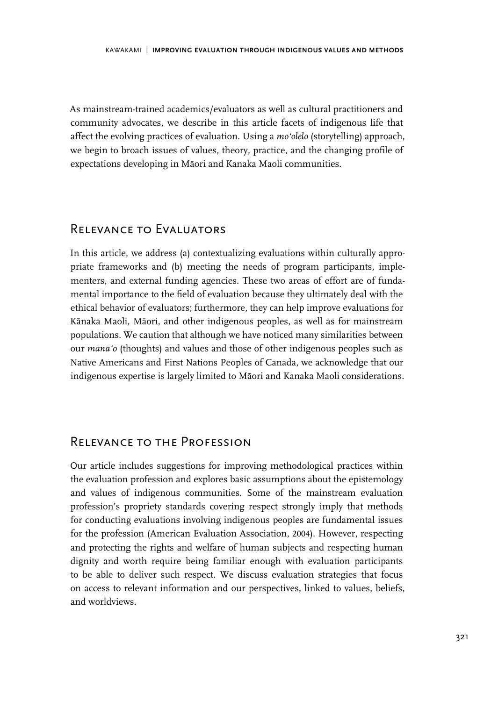As mainstream-trained academics/evaluators as well as cultural practitioners and community advocates, we describe in this article facets of indigenous life that affect the evolving practices of evaluation. Using a *mo* 'olelo (storytelling) approach, we begin to broach issues of values, theory, practice, and the changing profile of expectations developing in Mäori and Kanaka Maoli communities.

## Relevance to Evaluators

In this article, we address (a) contextualizing evaluations within culturally appropriate frameworks and (b) meeting the needs of program participants, implementers, and external funding agencies. These two areas of effort are of fundamental importance to the field of evaluation because they ultimately deal with the ethical behavior of evaluators; furthermore, they can help improve evaluations for Känaka Maoli, Mäori, and other indigenous peoples, as well as for mainstream populations. We caution that although we have noticed many similarities between our *manaÿo* (thoughts) and values and those of other indigenous peoples such as Native Americans and First Nations Peoples of Canada, we acknowledge that our indigenous expertise is largely limited to Mäori and Kanaka Maoli considerations.

#### Relevance to the Profession

Our article includes suggestions for improving methodological practices within the evaluation profession and explores basic assumptions about the epistemology and values of indigenous communities. Some of the mainstream evaluation profession's propriety standards covering respect strongly imply that methods for conducting evaluations involving indigenous peoples are fundamental issues for the profession (American Evaluation Association, 2004). However, respecting and protecting the rights and welfare of human subjects and respecting human dignity and worth require being familiar enough with evaluation participants to be able to deliver such respect. We discuss evaluation strategies that focus on access to relevant information and our perspectives, linked to values, beliefs, and worldviews.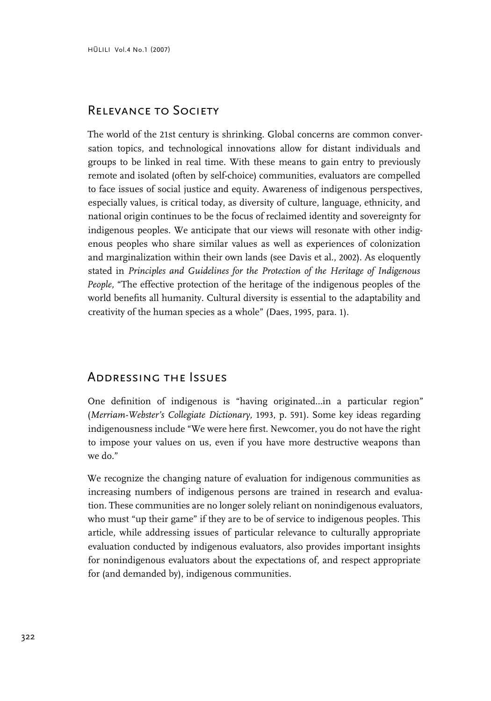## Relevance to Society

The world of the 21st century is shrinking. Global concerns are common conversation topics, and technological innovations allow for distant individuals and groups to be linked in real time. With these means to gain entry to previously remote and isolated (often by self-choice) communities, evaluators are compelled to face issues of social justice and equity. Awareness of indigenous perspectives, especially values, is critical today, as diversity of culture, language, ethnicity, and national origin continues to be the focus of reclaimed identity and sovereignty for indigenous peoples. We anticipate that our views will resonate with other indigenous peoples who share similar values as well as experiences of colonization and marginalization within their own lands (see Davis et al., 2002). As eloquently stated in *Principles and Guidelines for the Protection of the Heritage of Indigenous People,* "The effective protection of the heritage of the indigenous peoples of the world benefits all humanity. Cultural diversity is essential to the adaptability and creativity of the human species as a whole" (Daes, 1995, para. 1).

#### Addressing the Issues

One definition of indigenous is "having originated…in a particular region" (*Merriam-Webster's Collegiate Dictionary,* 1993, p. 591). Some key ideas regarding indigenousness include "We were here first. Newcomer, you do not have the right to impose your values on us, even if you have more destructive weapons than we do."

We recognize the changing nature of evaluation for indigenous communities as increasing numbers of indigenous persons are trained in research and evaluation. These communities are no longer solely reliant on nonindigenous evaluators, who must "up their game" if they are to be of service to indigenous peoples. This article, while addressing issues of particular relevance to culturally appropriate evaluation conducted by indigenous evaluators, also provides important insights for nonindigenous evaluators about the expectations of, and respect appropriate for (and demanded by), indigenous communities.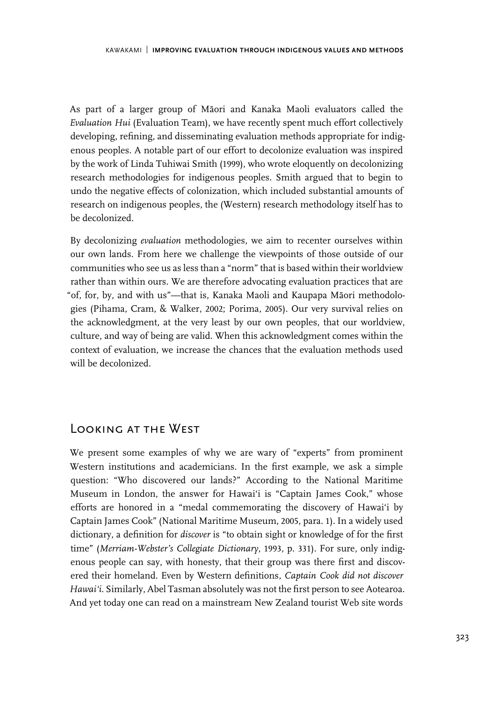As part of a larger group of Mäori and Kanaka Maoli evaluators called the *Evaluation Hui* (Evaluation Team), we have recently spent much effort collectively developing, refining, and disseminating evaluation methods appropriate for indigenous peoples. A notable part of our effort to decolonize evaluation was inspired by the work of Linda Tuhiwai Smith (1999), who wrote eloquently on decolonizing research methodologies for indigenous peoples. Smith argued that to begin to undo the negative effects of colonization, which included substantial amounts of research on indigenous peoples, the (Western) research methodology itself has to be decolonized.

By decolonizing *evaluation* methodologies, we aim to recenter ourselves within our own lands. From here we challenge the viewpoints of those outside of our communities who see us as less than a "norm" that is based within their worldview rather than within ours. We are therefore advocating evaluation practices that are "of, for, by, and with us"—that is, Kanaka Maoli and Kaupapa Mäori methodologies (Pihama, Cram, & Walker, 2002; Porima, 2005). Our very survival relies on the acknowledgment, at the very least by our own peoples, that our worldview, culture, and way of being are valid. When this acknowledgment comes within the context of evaluation, we increase the chances that the evaluation methods used will be decolonized.

### Looking at the West

We present some examples of why we are wary of "experts" from prominent Western institutions and academicians. In the first example, we ask a simple question: "Who discovered our lands?" According to the National Maritime Museum in London, the answer for Hawai'i is "Captain James Cook," whose efforts are honored in a "medal commemorating the discovery of Hawai'i by Captain James Cook" (National Maritime Museum, 2005, para. 1). In a widely used dictionary, a definition for *discover* is "to obtain sight or knowledge of for the first time" (*Merriam-Webster's Collegiate Dictionary*, 1993, p. 331). For sure, only indigenous people can say, with honesty, that their group was there first and discovered their homeland. Even by Western definitions, *Captain Cook did not discover Hawaiÿi*. Similarly, Abel Tasman absolutely was not the first person to see Aotearoa. And yet today one can read on a mainstream New Zealand tourist Web site words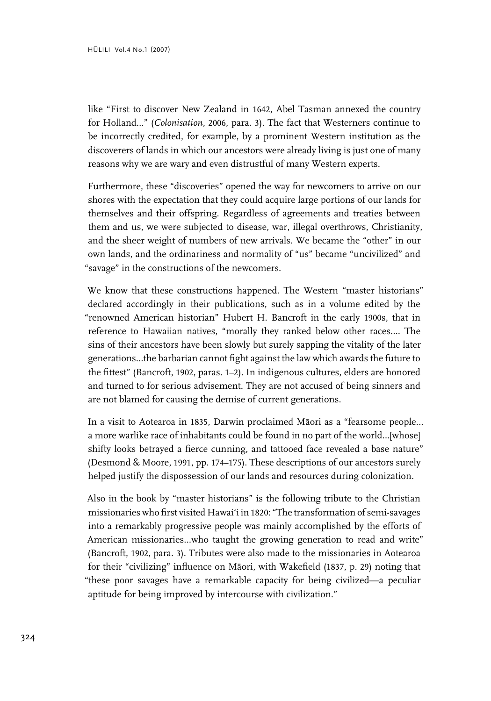like "First to discover New Zealand in 1642, Abel Tasman annexed the country for Holland…" (*Colonisation*, 2006, para. 3). The fact that Westerners continue to be incorrectly credited, for example, by a prominent Western institution as the discoverers of lands in which our ancestors were already living is just one of many reasons why we are wary and even distrustful of many Western experts.

Furthermore, these "discoveries" opened the way for newcomers to arrive on our shores with the expectation that they could acquire large portions of our lands for themselves and their offspring. Regardless of agreements and treaties between them and us, we were subjected to disease, war, illegal overthrows, Christianity, and the sheer weight of numbers of new arrivals. We became the "other" in our own lands, and the ordinariness and normality of "us" became "uncivilized" and "savage" in the constructions of the newcomers.

We know that these constructions happened. The Western "master historians" declared accordingly in their publications, such as in a volume edited by the "renowned American historian" Hubert H. Bancroft in the early 1900s, that in reference to Hawaiian natives, "morally they ranked below other races…. The sins of their ancestors have been slowly but surely sapping the vitality of the later generations…the barbarian cannot fight against the law which awards the future to the fittest" (Bancroft, 1902, paras. 1–2). In indigenous cultures, elders are honored and turned to for serious advisement. They are not accused of being sinners and are not blamed for causing the demise of current generations.

In a visit to Aotearoa in 1835, Darwin proclaimed Mäori as a "fearsome people… a more warlike race of inhabitants could be found in no part of the world…[whose] shifty looks betrayed a fierce cunning, and tattooed face revealed a base nature" (Desmond & Moore, 1991, pp. 174–175). These descriptions of our ancestors surely helped justify the dispossession of our lands and resources during colonization.

Also in the book by "master historians" is the following tribute to the Christian missionaries who first visited Hawaiʻi in 1820: "The transformation of semi-savages into a remarkably progressive people was mainly accomplished by the efforts of American missionaries…who taught the growing generation to read and write" (Bancroft, 1902, para. 3). Tributes were also made to the missionaries in Aotearoa for their "civilizing" influence on Mäori, with Wakefield (1837, p. 29) noting that "these poor savages have a remarkable capacity for being civilized—a peculiar aptitude for being improved by intercourse with civilization."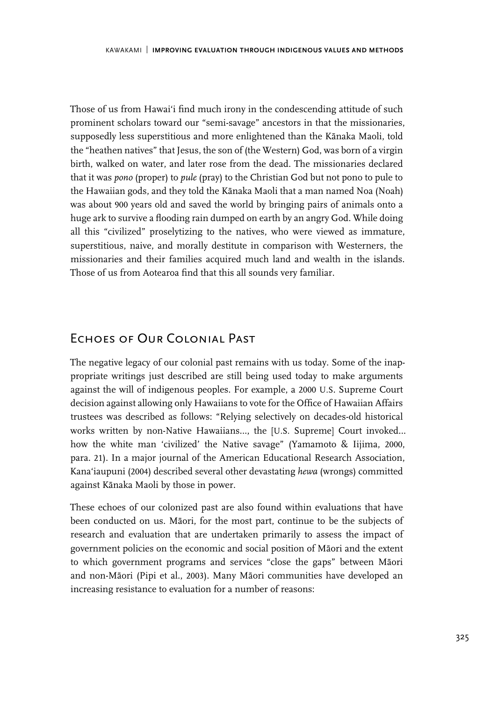Those of us from Hawai'i find much irony in the condescending attitude of such prominent scholars toward our "semi-savage" ancestors in that the missionaries, supposedly less superstitious and more enlightened than the Känaka Maoli, told the "heathen natives" that Jesus, the son of (the Western) God, was born of a virgin birth, walked on water, and later rose from the dead. The missionaries declared that it was *pono* (proper) to *pule* (pray) to the Christian God but not pono to pule to the Hawaiian gods, and they told the Känaka Maoli that a man named Noa (Noah) was about 900 years old and saved the world by bringing pairs of animals onto a huge ark to survive a flooding rain dumped on earth by an angry God. While doing all this "civilized" proselytizing to the natives, who were viewed as immature, superstitious, naive, and morally destitute in comparison with Westerners, the missionaries and their families acquired much land and wealth in the islands. Those of us from Aotearoa find that this all sounds very familiar.

## Echoes of Our Colonial Past

The negative legacy of our colonial past remains with us today. Some of the inappropriate writings just described are still being used today to make arguments against the will of indigenous peoples. For example, a 2000 U.S. Supreme Court decision against allowing only Hawaiians to vote for the Office of Hawaiian Affairs trustees was described as follows: "Relying selectively on decades-old historical works written by non-Native Hawaiians…, the [U.S. Supreme] Court invoked… how the white man 'civilized' the Native savage" (Yamamoto & Iijima, 2000, para. 21). In a major journal of the American Educational Research Association, Kanaÿiaupuni (2004) described several other devastating *hewa* (wrongs) committed against Känaka Maoli by those in power.

These echoes of our colonized past are also found within evaluations that have been conducted on us. Mäori, for the most part, continue to be the subjects of research and evaluation that are undertaken primarily to assess the impact of government policies on the economic and social position of Mäori and the extent to which government programs and services "close the gaps" between Mäori and non-Mäori (Pipi et al., 2003). Many Mäori communities have developed an increasing resistance to evaluation for a number of reasons: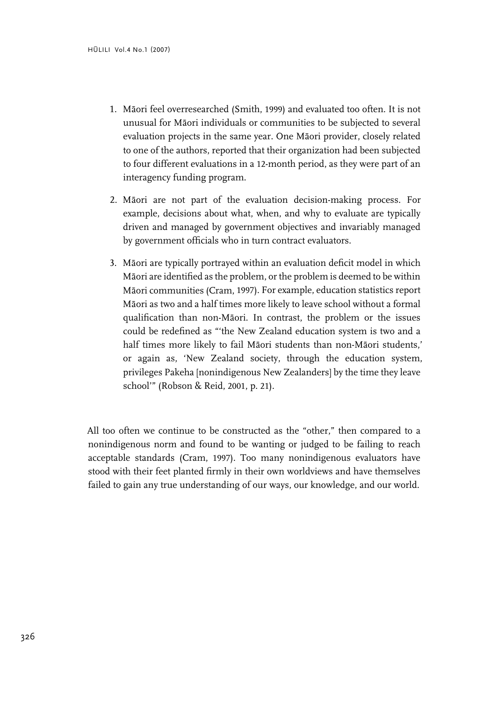- 1. Mäori feel overresearched (Smith, 1999) and evaluated too often. It is not unusual for Mäori individuals or communities to be subjected to several evaluation projects in the same year. One Mäori provider, closely related to one of the authors, reported that their organization had been subjected to four different evaluations in a 12-month period, as they were part of an interagency funding program.
- 2. Mäori are not part of the evaluation decision-making process. For example, decisions about what, when, and why to evaluate are typically driven and managed by government objectives and invariably managed by government officials who in turn contract evaluators.
- 3. Mäori are typically portrayed within an evaluation deficit model in which Mäori are identified as the problem, or the problem is deemed to be within Mäori communities (Cram, 1997). For example, education statistics report Mäori as two and a half times more likely to leave school without a formal qualification than non-Mäori. In contrast, the problem or the issues could be redefined as "'the New Zealand education system is two and a half times more likely to fail Mäori students than non-Mäori students,' or again as, 'New Zealand society, through the education system, privileges Pakeha [nonindigenous New Zealanders] by the time they leave school'" (Robson & Reid, 2001, p. 21).

All too often we continue to be constructed as the "other," then compared to a nonindigenous norm and found to be wanting or judged to be failing to reach acceptable standards (Cram, 1997). Too many nonindigenous evaluators have stood with their feet planted firmly in their own worldviews and have themselves failed to gain any true understanding of our ways, our knowledge, and our world.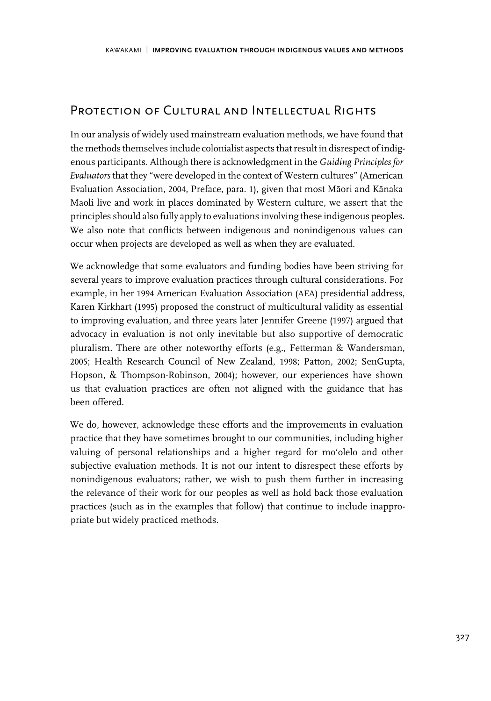### PROTECTION OF CULTURAL AND INTELLECTUAL RIGHTS

In our analysis of widely used mainstream evaluation methods, we have found that the methods themselves include colonialist aspects that result in disrespect of indigenous participants. Although there is acknowledgment in the *Guiding Principles for Evaluators* that they "were developed in the context of Western cultures" (American Evaluation Association, 2004, Preface, para. 1), given that most Mäori and Känaka Maoli live and work in places dominated by Western culture, we assert that the principles should also fully apply to evaluations involving these indigenous peoples. We also note that conflicts between indigenous and nonindigenous values can occur when projects are developed as well as when they are evaluated.

We acknowledge that some evaluators and funding bodies have been striving for several years to improve evaluation practices through cultural considerations. For example, in her 1994 American Evaluation Association (AEA) presidential address, Karen Kirkhart (1995) proposed the construct of multicultural validity as essential to improving evaluation, and three years later Jennifer Greene (1997) argued that advocacy in evaluation is not only inevitable but also supportive of democratic pluralism. There are other noteworthy efforts (e.g., Fetterman & Wandersman, 2005; Health Research Council of New Zealand, 1998; Patton, 2002; SenGupta, Hopson, & Thompson-Robinson, 2004); however, our experiences have shown us that evaluation practices are often not aligned with the guidance that has been offered.

We do, however, acknowledge these efforts and the improvements in evaluation practice that they have sometimes brought to our communities, including higher valuing of personal relationships and a higher regard for mo'olelo and other subjective evaluation methods. It is not our intent to disrespect these efforts by nonindigenous evaluators; rather, we wish to push them further in increasing the relevance of their work for our peoples as well as hold back those evaluation practices (such as in the examples that follow) that continue to include inappropriate but widely practiced methods.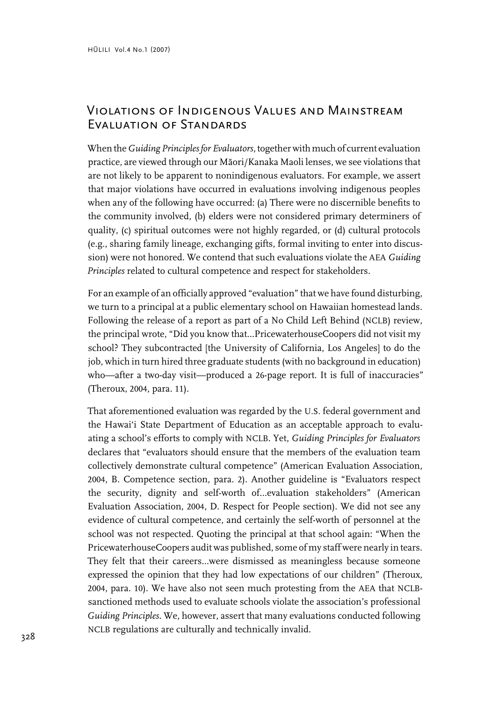## Violations of Indigenous Values and Mainstream Evaluation of Standards

When the *Guiding Principles for Evaluators*, together with much of current evaluation practice, are viewed through our Mäori/Kanaka Maoli lenses, we see violations that are not likely to be apparent to nonindigenous evaluators. For example, we assert that major violations have occurred in evaluations involving indigenous peoples when any of the following have occurred: (a) There were no discernible benefits to the community involved, (b) elders were not considered primary determiners of quality, (c) spiritual outcomes were not highly regarded, or (d) cultural protocols (e.g., sharing family lineage, exchanging gifts, formal inviting to enter into discussion) were not honored. We contend that such evaluations violate the AEA *Guiding Principles* related to cultural competence and respect for stakeholders.

For an example of an officially approved "evaluation" that we have found disturbing, we turn to a principal at a public elementary school on Hawaiian homestead lands. Following the release of a report as part of a No Child Left Behind (NCLB) review, the principal wrote, "Did you know that…PricewaterhouseCoopers did not visit my school? They subcontracted [the University of California, Los Angeles] to do the job, which in turn hired three graduate students (with no background in education) who—after a two-day visit—produced a 26-page report. It is full of inaccuracies" (Theroux, 2004, para. 11).

That aforementioned evaluation was regarded by the U.S. federal government and the Hawai'i State Department of Education as an acceptable approach to evaluating a school's efforts to comply with NCLB. Yet, *Guiding Principles for Evaluators*  declares that "evaluators should ensure that the members of the evaluation team collectively demonstrate cultural competence" (American Evaluation Association, 2004, B. Competence section, para. 2). Another guideline is "Evaluators respect the security, dignity and self-worth of…evaluation stakeholders" (American Evaluation Association, 2004, D. Respect for People section). We did not see any evidence of cultural competence, and certainly the self-worth of personnel at the school was not respected. Quoting the principal at that school again: "When the PricewaterhouseCoopers audit was published, some of my staff were nearly in tears. They felt that their careers…were dismissed as meaningless because someone expressed the opinion that they had low expectations of our children" (Theroux, 2004, para. 10). We have also not seen much protesting from the AEA that NCLBsanctioned methods used to evaluate schools violate the association's professional *Guiding Principles*. We, however, assert that many evaluations conducted following NCLB regulations are culturally and technically invalid. 328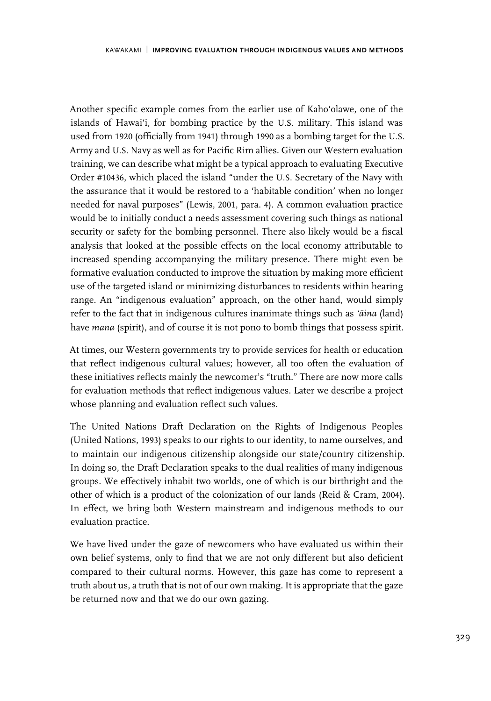Another specific example comes from the earlier use of Kahoʻolawe, one of the islands of Hawaiÿi, for bombing practice by the U.S. military. This island was used from 1920 (officially from 1941) through 1990 as a bombing target for the U.S. Army and U.S. Navy as well as for Pacific Rim allies. Given our Western evaluation training, we can describe what might be a typical approach to evaluating Executive Order #10436, which placed the island "under the U.S. Secretary of the Navy with the assurance that it would be restored to a 'habitable condition' when no longer needed for naval purposes" (Lewis, 2001, para. 4). A common evaluation practice would be to initially conduct a needs assessment covering such things as national security or safety for the bombing personnel. There also likely would be a fiscal analysis that looked at the possible effects on the local economy attributable to increased spending accompanying the military presence. There might even be formative evaluation conducted to improve the situation by making more efficient use of the targeted island or minimizing disturbances to residents within hearing range. An "indigenous evaluation" approach, on the other hand, would simply refer to the fact that in indigenous cultures inanimate things such as *ÿäina* (land) have *mana* (spirit), and of course it is not pono to bomb things that possess spirit.

At times, our Western governments try to provide services for health or education that reflect indigenous cultural values; however, all too often the evaluation of these initiatives reflects mainly the newcomer's "truth." There are now more calls for evaluation methods that reflect indigenous values. Later we describe a project whose planning and evaluation reflect such values.

The United Nations Draft Declaration on the Rights of Indigenous Peoples (United Nations, 1993) speaks to our rights to our identity, to name ourselves, and to maintain our indigenous citizenship alongside our state/country citizenship. In doing so, the Draft Declaration speaks to the dual realities of many indigenous groups. We effectively inhabit two worlds, one of which is our birthright and the other of which is a product of the colonization of our lands (Reid & Cram, 2004). In effect, we bring both Western mainstream and indigenous methods to our evaluation practice.

We have lived under the gaze of newcomers who have evaluated us within their own belief systems, only to find that we are not only different but also deficient compared to their cultural norms. However, this gaze has come to represent a truth about us, a truth that is not of our own making. It is appropriate that the gaze be returned now and that we do our own gazing.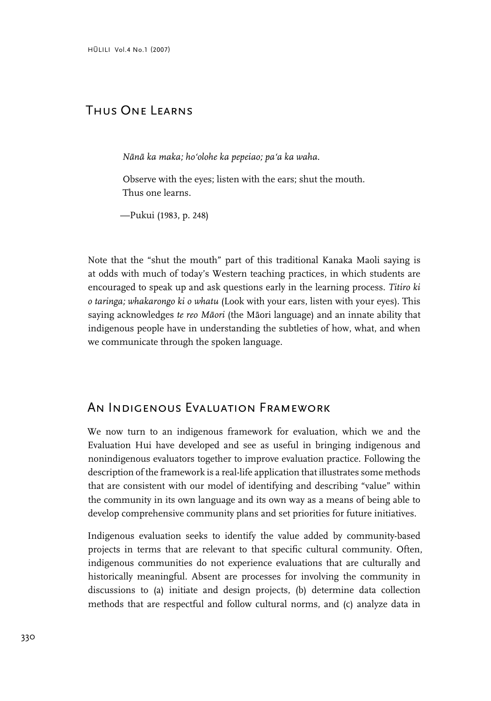## Thus One Learns

*Nänä ka maka; hoÿolohe ka pepeiao; paÿa ka waha.* 

Observe with the eyes; listen with the ears; shut the mouth. Thus one learns.

—Pukui (1983, p. 248)

Note that the "shut the mouth" part of this traditional Kanaka Maoli saying is at odds with much of today's Western teaching practices, in which students are encouraged to speak up and ask questions early in the learning process. *Titiro ki o taringa; whakarongo ki o whatu* (Look with your ears, listen with your eyes). This saying acknowledges *te reo Mäori* (the Mäori language) and an innate ability that indigenous people have in understanding the subtleties of how, what, and when we communicate through the spoken language.

### An Indigenous Evaluation Framework

We now turn to an indigenous framework for evaluation, which we and the Evaluation Hui have developed and see as useful in bringing indigenous and nonindigenous evaluators together to improve evaluation practice. Following the description of the framework is a real-life application that illustrates some methods that are consistent with our model of identifying and describing "value" within the community in its own language and its own way as a means of being able to develop comprehensive community plans and set priorities for future initiatives.

Indigenous evaluation seeks to identify the value added by community-based projects in terms that are relevant to that specific cultural community. Often, indigenous communities do not experience evaluations that are culturally and historically meaningful. Absent are processes for involving the community in discussions to (a) initiate and design projects, (b) determine data collection methods that are respectful and follow cultural norms, and (c) analyze data in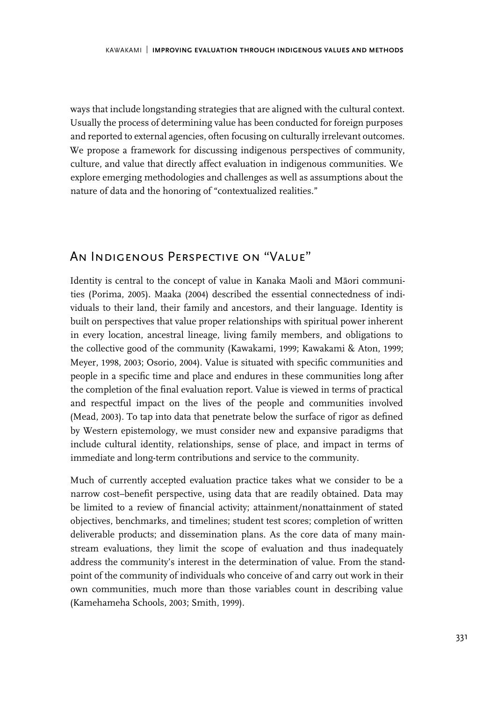ways that include longstanding strategies that are aligned with the cultural context. Usually the process of determining value has been conducted for foreign purposes and reported to external agencies, often focusing on culturally irrelevant outcomes. We propose a framework for discussing indigenous perspectives of community, culture, and value that directly affect evaluation in indigenous communities. We explore emerging methodologies and challenges as well as assumptions about the nature of data and the honoring of "contextualized realities."

### AN INDIGENOUS PERSPECTIVE ON "VALUE"

Identity is central to the concept of value in Kanaka Maoli and Mäori communities (Porima, 2005). Maaka (2004) described the essential connectedness of individuals to their land, their family and ancestors, and their language. Identity is built on perspectives that value proper relationships with spiritual power inherent in every location, ancestral lineage, living family members, and obligations to the collective good of the community (Kawakami, 1999; Kawakami & Aton, 1999; Meyer, 1998, 2003; Osorio, 2004). Value is situated with specific communities and people in a specific time and place and endures in these communities long after the completion of the final evaluation report. Value is viewed in terms of practical and respectful impact on the lives of the people and communities involved (Mead, 2003). To tap into data that penetrate below the surface of rigor as defined by Western epistemology, we must consider new and expansive paradigms that include cultural identity, relationships, sense of place, and impact in terms of immediate and long-term contributions and service to the community.

Much of currently accepted evaluation practice takes what we consider to be a narrow cost–benefit perspective, using data that are readily obtained. Data may be limited to a review of financial activity; attainment/nonattainment of stated objectives, benchmarks, and timelines; student test scores; completion of written deliverable products; and dissemination plans. As the core data of many mainstream evaluations, they limit the scope of evaluation and thus inadequately address the community's interest in the determination of value. From the standpoint of the community of individuals who conceive of and carry out work in their own communities, much more than those variables count in describing value (Kamehameha Schools, 2003; Smith, 1999).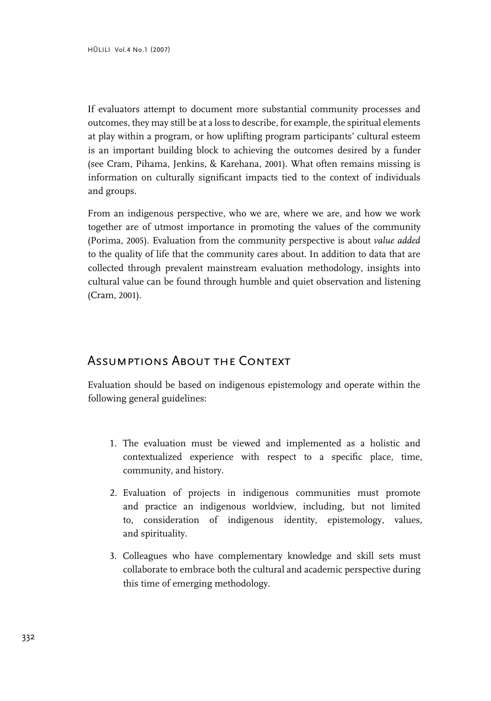If evaluators attempt to document more substantial community processes and outcomes, they may still be at a loss to describe, for example, the spiritual elements at play within a program, or how uplifting program participants' cultural esteem is an important building block to achieving the outcomes desired by a funder (see Cram, Pihama, Jenkins, & Karehana, 2001). What often remains missing is information on culturally significant impacts tied to the context of individuals and groups.

From an indigenous perspective, who we are, where we are, and how we work together are of utmost importance in promoting the values of the community (Porima, 2005). Evaluation from the community perspective is about *value added*  to the quality of life that the community cares about. In addition to data that are collected through prevalent mainstream evaluation methodology, insights into cultural value can be found through humble and quiet observation and listening (Cram, 2001).

## Assumptions About the Context

Evaluation should be based on indigenous epistemology and operate within the following general guidelines:

- 1. The evaluation must be viewed and implemented as a holistic and contextualized experience with respect to a specific place, time, community, and history.
- 2. Evaluation of projects in indigenous communities must promote and practice an indigenous worldview, including, but not limited to, consideration of indigenous identity, epistemology, values, and spirituality.
- 3. Colleagues who have complementary knowledge and skill sets must collaborate to embrace both the cultural and academic perspective during this time of emerging methodology.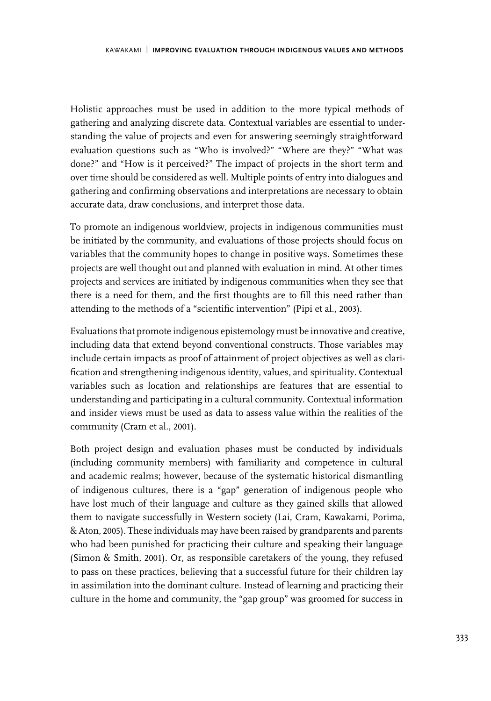Holistic approaches must be used in addition to the more typical methods of gathering and analyzing discrete data. Contextual variables are essential to understanding the value of projects and even for answering seemingly straightforward evaluation questions such as "Who is involved?" "Where are they?" "What was done?" and "How is it perceived?" The impact of projects in the short term and over time should be considered as well. Multiple points of entry into dialogues and gathering and confirming observations and interpretations are necessary to obtain accurate data, draw conclusions, and interpret those data.

To promote an indigenous worldview, projects in indigenous communities must be initiated by the community, and evaluations of those projects should focus on variables that the community hopes to change in positive ways. Sometimes these projects are well thought out and planned with evaluation in mind. At other times projects and services are initiated by indigenous communities when they see that there is a need for them, and the first thoughts are to fill this need rather than attending to the methods of a "scientific intervention" (Pipi et al., 2003).

Evaluations that promote indigenous epistemology must be innovative and creative, including data that extend beyond conventional constructs. Those variables may include certain impacts as proof of attainment of project objectives as well as clarification and strengthening indigenous identity, values, and spirituality. Contextual variables such as location and relationships are features that are essential to understanding and participating in a cultural community. Contextual information and insider views must be used as data to assess value within the realities of the community (Cram et al., 2001).

Both project design and evaluation phases must be conducted by individuals (including community members) with familiarity and competence in cultural and academic realms; however, because of the systematic historical dismantling of indigenous cultures, there is a "gap" generation of indigenous people who have lost much of their language and culture as they gained skills that allowed them to navigate successfully in Western society (Lai, Cram, Kawakami, Porima, & Aton, 2005). These individuals may have been raised by grandparents and parents who had been punished for practicing their culture and speaking their language (Simon & Smith, 2001). Or, as responsible caretakers of the young, they refused to pass on these practices, believing that a successful future for their children lay in assimilation into the dominant culture. Instead of learning and practicing their culture in the home and community, the "gap group" was groomed for success in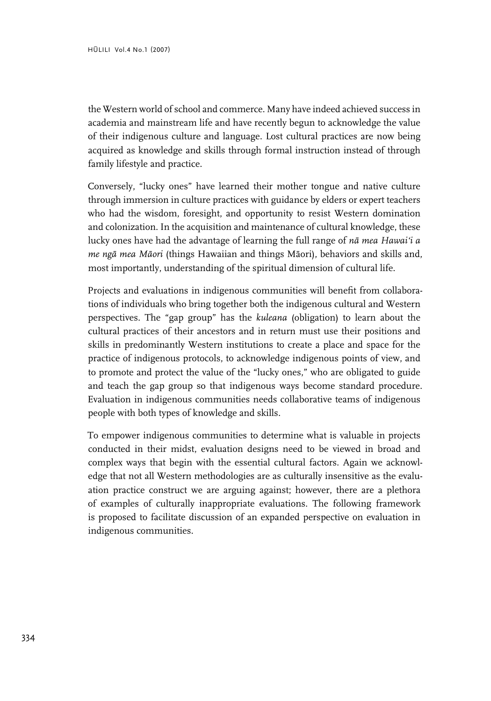the Western world of school and commerce. Many have indeed achieved success in academia and mainstream life and have recently begun to acknowledge the value of their indigenous culture and language. Lost cultural practices are now being acquired as knowledge and skills through formal instruction instead of through family lifestyle and practice.

Conversely, "lucky ones" have learned their mother tongue and native culture through immersion in culture practices with guidance by elders or expert teachers who had the wisdom, foresight, and opportunity to resist Western domination and colonization. In the acquisition and maintenance of cultural knowledge, these lucky ones have had the advantage of learning the full range of *nä mea Hawaiÿi a me ngä mea Mäori* (things Hawaiian and things Mäori), behaviors and skills and, most importantly, understanding of the spiritual dimension of cultural life.

Projects and evaluations in indigenous communities will benefit from collaborations of individuals who bring together both the indigenous cultural and Western perspectives. The "gap group" has the *kuleana* (obligation) to learn about the cultural practices of their ancestors and in return must use their positions and skills in predominantly Western institutions to create a place and space for the practice of indigenous protocols, to acknowledge indigenous points of view, and to promote and protect the value of the "lucky ones," who are obligated to guide and teach the gap group so that indigenous ways become standard procedure. Evaluation in indigenous communities needs collaborative teams of indigenous people with both types of knowledge and skills.

To empower indigenous communities to determine what is valuable in projects conducted in their midst, evaluation designs need to be viewed in broad and complex ways that begin with the essential cultural factors. Again we acknowledge that not all Western methodologies are as culturally insensitive as the evaluation practice construct we are arguing against; however, there are a plethora of examples of culturally inappropriate evaluations. The following framework is proposed to facilitate discussion of an expanded perspective on evaluation in indigenous communities.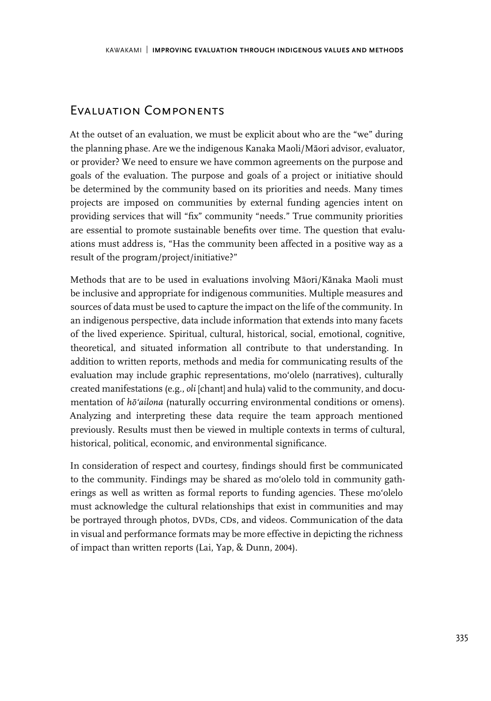## Evaluation Components

At the outset of an evaluation, we must be explicit about who are the "we" during the planning phase. Are we the indigenous Kanaka Maoli/Mäori advisor, evaluator, or provider? We need to ensure we have common agreements on the purpose and goals of the evaluation. The purpose and goals of a project or initiative should be determined by the community based on its priorities and needs. Many times projects are imposed on communities by external funding agencies intent on providing services that will "fix" community "needs." True community priorities are essential to promote sustainable benefits over time. The question that evaluations must address is, "Has the community been affected in a positive way as a result of the program/project/initiative?"

Methods that are to be used in evaluations involving Mäori/Känaka Maoli must be inclusive and appropriate for indigenous communities. Multiple measures and sources of data must be used to capture the impact on the life of the community. In an indigenous perspective, data include information that extends into many facets of the lived experience. Spiritual, cultural, historical, social, emotional, cognitive, theoretical, and situated information all contribute to that understanding. In addition to written reports, methods and media for communicating results of the evaluation may include graphic representations, mo'olelo (narratives), culturally created manifestations (e.g., *oli* [chant] and hula) valid to the community, and documentation of *hō'ailona* (naturally occurring environmental conditions or omens). Analyzing and interpreting these data require the team approach mentioned previously. Results must then be viewed in multiple contexts in terms of cultural, historical, political, economic, and environmental significance.

In consideration of respect and courtesy, findings should first be communicated to the community. Findings may be shared as mo'olelo told in community gatherings as well as written as formal reports to funding agencies. These mo'olelo must acknowledge the cultural relationships that exist in communities and may be portrayed through photos, DVDs, CDs, and videos. Communication of the data in visual and performance formats may be more effective in depicting the richness of impact than written reports (Lai, Yap, & Dunn, 2004).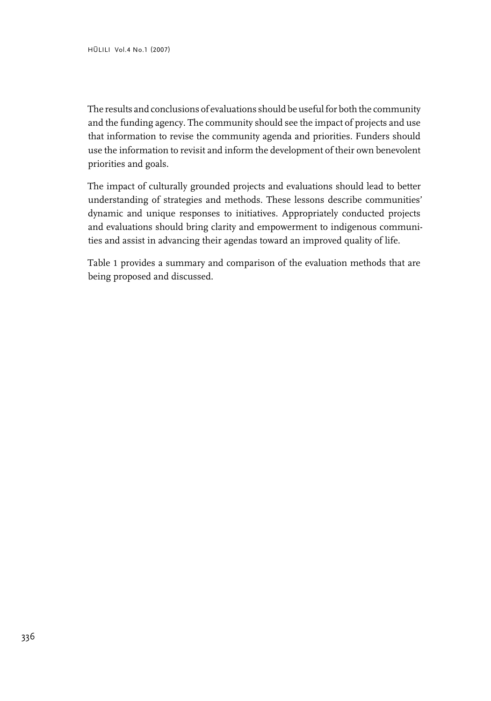The results and conclusions of evaluations should be useful for both the community and the funding agency. The community should see the impact of projects and use that information to revise the community agenda and priorities. Funders should use the information to revisit and inform the development of their own benevolent priorities and goals.

The impact of culturally grounded projects and evaluations should lead to better understanding of strategies and methods. These lessons describe communities' dynamic and unique responses to initiatives. Appropriately conducted projects and evaluations should bring clarity and empowerment to indigenous communities and assist in advancing their agendas toward an improved quality of life.

Table 1 provides a summary and comparison of the evaluation methods that are being proposed and discussed.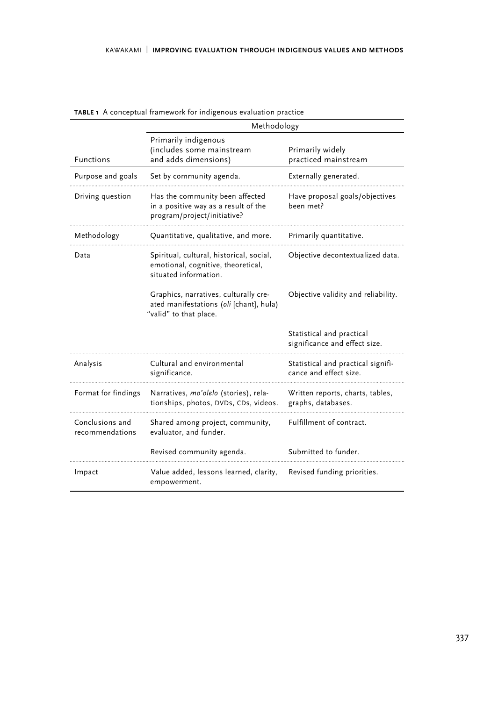|                                    | Methodology                                                                                                |                                                              |
|------------------------------------|------------------------------------------------------------------------------------------------------------|--------------------------------------------------------------|
| <b>Functions</b>                   | Primarily indigenous<br>(includes some mainstream<br>and adds dimensions)                                  | Primarily widely<br>practiced mainstream                     |
| Purpose and goals                  | Set by community agenda.                                                                                   | Externally generated.                                        |
| Driving question                   | Has the community been affected<br>in a positive way as a result of the<br>program/project/initiative?     | Have proposal goals/objectives<br>been met?                  |
| Methodology                        | Quantitative, qualitative, and more.                                                                       | Primarily quantitative.                                      |
| Data                               | Spiritual, cultural, historical, social,<br>emotional, cognitive, theoretical,<br>situated information.    | Objective decontextualized data.                             |
|                                    | Graphics, narratives, culturally cre-<br>ated manifestations (oli [chant], hula)<br>"valid" to that place. | Objective validity and reliability.                          |
|                                    |                                                                                                            | Statistical and practical<br>significance and effect size.   |
| Analysis                           | Cultural and environmental<br>significance.                                                                | Statistical and practical signifi-<br>cance and effect size. |
| Format for findings                | Narratives, mo'olelo (stories), rela-<br>tionships, photos, DVDs, CDs, videos.                             | Written reports, charts, tables,<br>graphs, databases.       |
| Conclusions and<br>recommendations | Shared among project, community,<br>evaluator, and funder.                                                 | Fulfillment of contract.                                     |
|                                    | Revised community agenda.                                                                                  | Submitted to funder.                                         |
| Impact                             | Value added, lessons learned, clarity,<br>empowerment.                                                     | Revised funding priorities.                                  |

#### **TAbLE 1** A conceptual framework for indigenous evaluation practice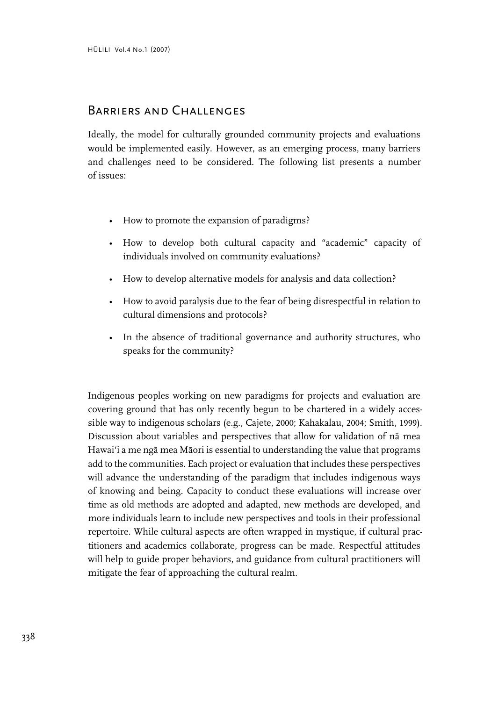### Barriers and Challenges

Ideally, the model for culturally grounded community projects and evaluations would be implemented easily. However, as an emerging process, many barriers and challenges need to be considered. The following list presents a number of issues:

- How to promote the expansion of paradigms?
- How to develop both cultural capacity and "academic" capacity of individuals involved on community evaluations?
- How to develop alternative models for analysis and data collection?
- How to avoid paralysis due to the fear of being disrespectful in relation to cultural dimensions and protocols?
- In the absence of traditional governance and authority structures, who speaks for the community?

Indigenous peoples working on new paradigms for projects and evaluation are covering ground that has only recently begun to be chartered in a widely accessible way to indigenous scholars (e.g., Cajete, 2000; Kahakalau, 2004; Smith, 1999). Discussion about variables and perspectives that allow for validation of nä mea Hawai'i a me ngā mea Māori is essential to understanding the value that programs add to the communities. Each project or evaluation that includes these perspectives will advance the understanding of the paradigm that includes indigenous ways of knowing and being. Capacity to conduct these evaluations will increase over time as old methods are adopted and adapted, new methods are developed, and more individuals learn to include new perspectives and tools in their professional repertoire. While cultural aspects are often wrapped in mystique, if cultural practitioners and academics collaborate, progress can be made. Respectful attitudes will help to guide proper behaviors, and guidance from cultural practitioners will mitigate the fear of approaching the cultural realm.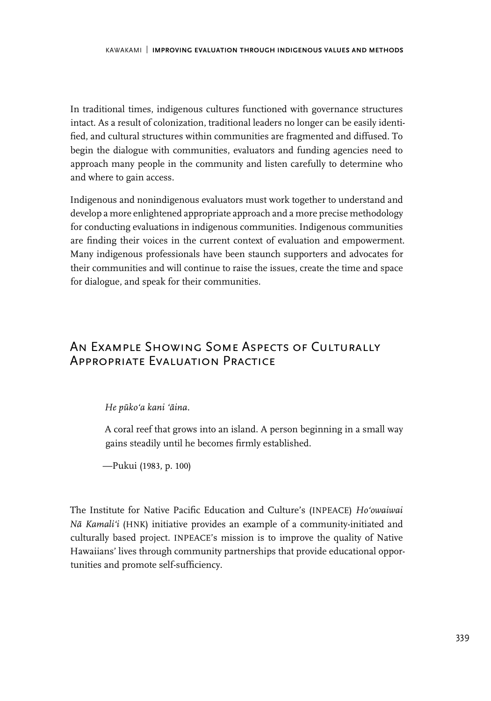In traditional times, indigenous cultures functioned with governance structures intact. As a result of colonization, traditional leaders no longer can be easily identified, and cultural structures within communities are fragmented and diffused. To begin the dialogue with communities, evaluators and funding agencies need to approach many people in the community and listen carefully to determine who and where to gain access.

Indigenous and nonindigenous evaluators must work together to understand and develop a more enlightened appropriate approach and a more precise methodology for conducting evaluations in indigenous communities. Indigenous communities are finding their voices in the current context of evaluation and empowerment. Many indigenous professionals have been staunch supporters and advocates for their communities and will continue to raise the issues, create the time and space for dialogue, and speak for their communities.

## An Example Showing Some Aspects of Culturally Appropriate Evaluation Practice

*He pükoÿa kani ÿäina.* 

A coral reef that grows into an island. A person beginning in a small way gains steadily until he becomes firmly established.

—Pukui (1983, p. 100)

The Institute for Native Pacific Education and Culture's (INPEACE) *Ho'owaiwai Nä Kamaliÿi* (HNK) initiative provides an example of a community-initiated and culturally based project. INPEACE's mission is to improve the quality of Native Hawaiians' lives through community partnerships that provide educational opportunities and promote self-sufficiency.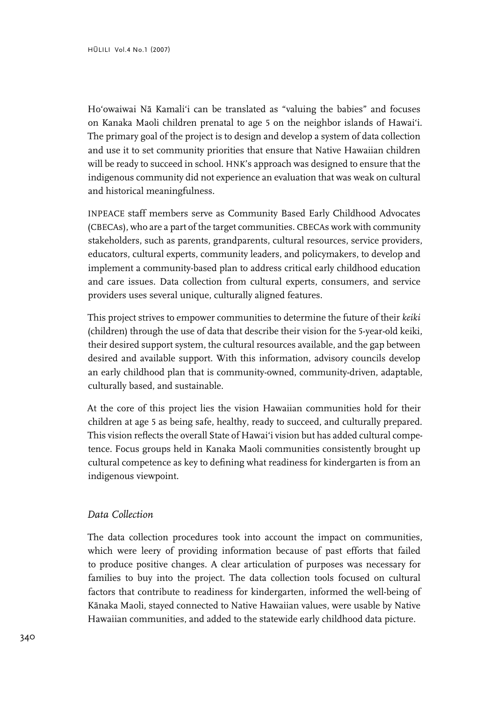Ho'owaiwai Nā Kamali'i can be translated as "valuing the babies" and focuses on Kanaka Maoli children prenatal to age 5 on the neighbor islands of Hawaiÿi. The primary goal of the project is to design and develop a system of data collection and use it to set community priorities that ensure that Native Hawaiian children will be ready to succeed in school. HNK's approach was designed to ensure that the indigenous community did not experience an evaluation that was weak on cultural and historical meaningfulness.

INPEACE staff members serve as Community Based Early Childhood Advocates (CBECAs), who are a part of the target communities. CBECAs work with community stakeholders, such as parents, grandparents, cultural resources, service providers, educators, cultural experts, community leaders, and policymakers, to develop and implement a community-based plan to address critical early childhood education and care issues. Data collection from cultural experts, consumers, and service providers uses several unique, culturally aligned features.

This project strives to empower communities to determine the future of their *keiki*  (children) through the use of data that describe their vision for the 5-year-old keiki, their desired support system, the cultural resources available, and the gap between desired and available support. With this information, advisory councils develop an early childhood plan that is community-owned, community-driven, adaptable, culturally based, and sustainable.

At the core of this project lies the vision Hawaiian communities hold for their children at age 5 as being safe, healthy, ready to succeed, and culturally prepared. This vision reflects the overall State of Hawai'i vision but has added cultural competence. Focus groups held in Kanaka Maoli communities consistently brought up cultural competence as key to defining what readiness for kindergarten is from an indigenous viewpoint.

#### *Data Collection*

The data collection procedures took into account the impact on communities, which were leery of providing information because of past efforts that failed to produce positive changes. A clear articulation of purposes was necessary for families to buy into the project. The data collection tools focused on cultural factors that contribute to readiness for kindergarten, informed the well-being of Känaka Maoli, stayed connected to Native Hawaiian values, were usable by Native Hawaiian communities, and added to the statewide early childhood data picture.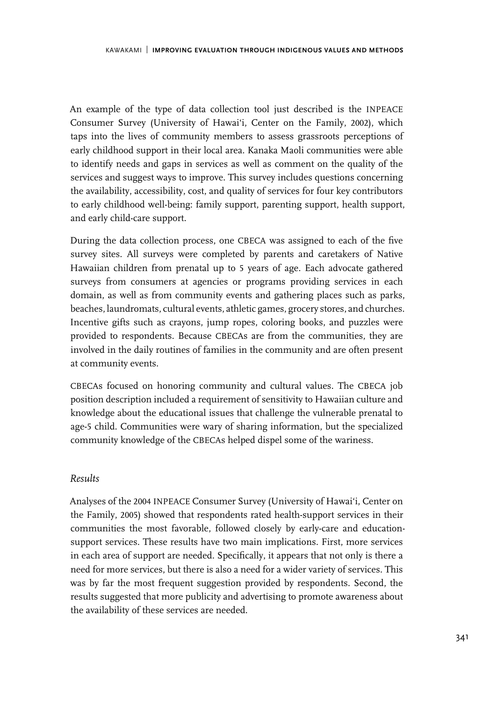An example of the type of data collection tool just described is the INPEACE Consumer Survey (University of Hawai'i, Center on the Family, 2002), which taps into the lives of community members to assess grassroots perceptions of early childhood support in their local area. Kanaka Maoli communities were able to identify needs and gaps in services as well as comment on the quality of the services and suggest ways to improve. This survey includes questions concerning the availability, accessibility, cost, and quality of services for four key contributors to early childhood well-being: family support, parenting support, health support, and early child-care support.

During the data collection process, one CBECA was assigned to each of the five survey sites. All surveys were completed by parents and caretakers of Native Hawaiian children from prenatal up to 5 years of age. Each advocate gathered surveys from consumers at agencies or programs providing services in each domain, as well as from community events and gathering places such as parks, beaches, laundromats, cultural events, athletic games, grocery stores, and churches. Incentive gifts such as crayons, jump ropes, coloring books, and puzzles were provided to respondents. Because CBECAs are from the communities, they are involved in the daily routines of families in the community and are often present at community events.

CBECAs focused on honoring community and cultural values. The CBECA job position description included a requirement of sensitivity to Hawaiian culture and knowledge about the educational issues that challenge the vulnerable prenatal to age-5 child. Communities were wary of sharing information, but the specialized community knowledge of the CBECAs helped dispel some of the wariness.

#### *Results*

Analyses of the 2004 INPEACE Consumer Survey (University of Hawai'i, Center on the Family, 2005) showed that respondents rated health-support services in their communities the most favorable, followed closely by early-care and educationsupport services. These results have two main implications. First, more services in each area of support are needed. Specifically, it appears that not only is there a need for more services, but there is also a need for a wider variety of services. This was by far the most frequent suggestion provided by respondents. Second, the results suggested that more publicity and advertising to promote awareness about the availability of these services are needed.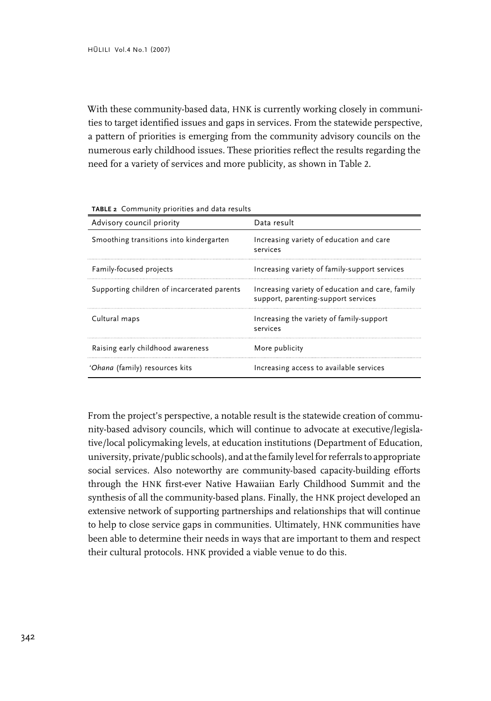With these community-based data, HNK is currently working closely in communities to target identified issues and gaps in services. From the statewide perspective, a pattern of priorities is emerging from the community advisory councils on the numerous early childhood issues. These priorities reflect the results regarding the need for a variety of services and more publicity, as shown in Table 2.

| Advisory council priority                   | Data result                                                                             |  |
|---------------------------------------------|-----------------------------------------------------------------------------------------|--|
| Smoothing transitions into kindergarten     | Increasing variety of education and care<br>services                                    |  |
| Family-focused projects                     | Increasing variety of family-support services                                           |  |
| Supporting children of incarcerated parents | Increasing variety of education and care, family<br>support, parenting-support services |  |
| Cultural maps                               | Increasing the variety of family-support<br>services                                    |  |
| Raising early childhood awareness           | More publicity                                                                          |  |
| 'Ohana (family) resources kits              | Increasing access to available services                                                 |  |

**TAbLE 2** Community priorities and data results

From the project's perspective, a notable result is the statewide creation of community-based advisory councils, which will continue to advocate at executive/legislative/local policymaking levels, at education institutions (Department of Education, university, private/public schools), and at the family level for referrals to appropriate social services. Also noteworthy are community-based capacity-building efforts through the HNK first-ever Native Hawaiian Early Childhood Summit and the synthesis of all the community-based plans. Finally, the HNK project developed an extensive network of supporting partnerships and relationships that will continue to help to close service gaps in communities. Ultimately, HNK communities have been able to determine their needs in ways that are important to them and respect their cultural protocols. HNK provided a viable venue to do this.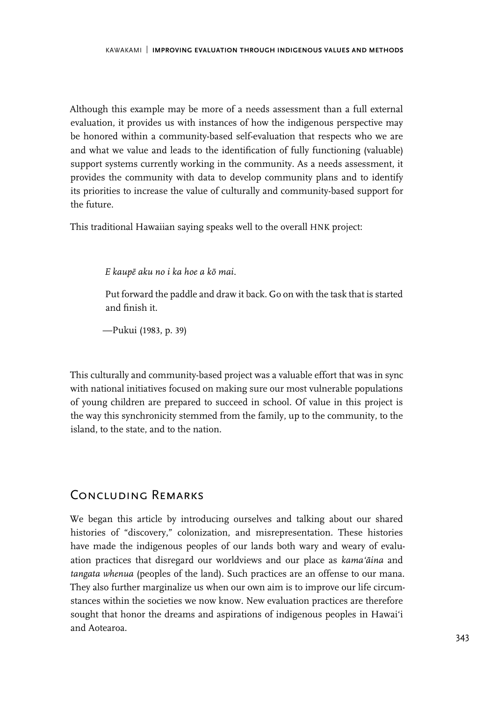Although this example may be more of a needs assessment than a full external evaluation, it provides us with instances of how the indigenous perspective may be honored within a community-based self-evaluation that respects who we are and what we value and leads to the identification of fully functioning (valuable) support systems currently working in the community. As a needs assessment, it provides the community with data to develop community plans and to identify its priorities to increase the value of culturally and community-based support for the future.

This traditional Hawaiian saying speaks well to the overall HNK project:

*E kaupë aku no i ka hoe a kö mai.* 

Put forward the paddle and draw it back. Go on with the task that is started and finish it.

—Pukui (1983, p. 39)

This culturally and community-based project was a valuable effort that was in sync with national initiatives focused on making sure our most vulnerable populations of young children are prepared to succeed in school. Of value in this project is the way this synchronicity stemmed from the family, up to the community, to the island, to the state, and to the nation.

### Concluding Remarks

We began this article by introducing ourselves and talking about our shared histories of "discovery," colonization, and misrepresentation. These histories have made the indigenous peoples of our lands both wary and weary of evaluation practices that disregard our worldviews and our place as *kama'äina* and *tangata whenua* (peoples of the land). Such practices are an offense to our mana. They also further marginalize us when our own aim is to improve our life circumstances within the societies we now know. New evaluation practices are therefore sought that honor the dreams and aspirations of indigenous peoples in Hawai'i and Aotearoa.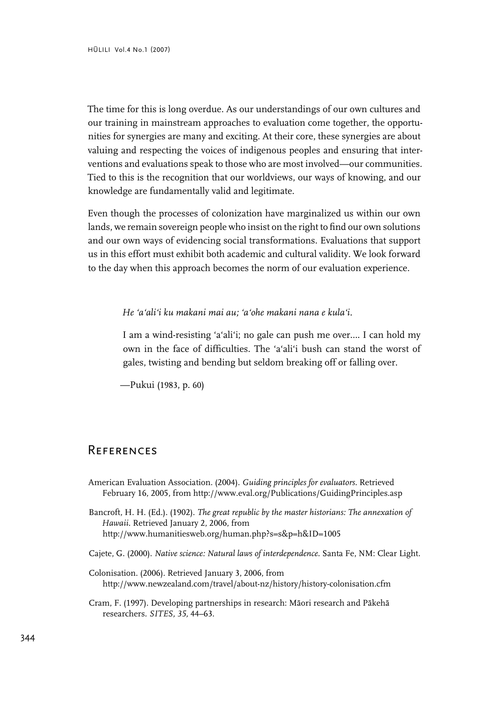The time for this is long overdue. As our understandings of our own cultures and our training in mainstream approaches to evaluation come together, the opportunities for synergies are many and exciting. At their core, these synergies are about valuing and respecting the voices of indigenous peoples and ensuring that interventions and evaluations speak to those who are most involved—our communities. Tied to this is the recognition that our worldviews, our ways of knowing, and our knowledge are fundamentally valid and legitimate.

Even though the processes of colonization have marginalized us within our own lands, we remain sovereign people who insist on the right to find our own solutions and our own ways of evidencing social transformations. Evaluations that support us in this effort must exhibit both academic and cultural validity. We look forward to the day when this approach becomes the norm of our evaluation experience.

*He ÿaÿaliÿi ku makani mai au; ÿaÿohe makani nana e kulaÿi.* 

I am a wind-resisting 'a'ali'i; no gale can push me over.... I can hold my own in the face of difficulties. The 'a'ali'i bush can stand the worst of gales, twisting and bending but seldom breaking off or falling over.

—Pukui (1983, p. 60)

#### **REFERENCES**

- American Evaluation Association. (2004). *Guiding principles for evaluators.* Retrieved February 16, 2005, from http://www.eval.org/Publications/GuidingPrinciples.asp
- Bancroft, H. H. (Ed.). (1902). *The great republic by the master historians: The annexation of Hawaii*. Retrieved January 2, 2006, from http://www.humanitiesweb.org/human.php?s=s&p=h&ID=1005
- Cajete, G. (2000). *Native science: Natural laws of interdependence.* Santa Fe, NM: Clear Light.
- Colonisation. (2006). Retrieved January 3, 2006, from http://www.newzealand.com/travel/about-nz/history/history-colonisation.cfm
- Cram, F. (1997). Developing partnerships in research: Mäori research and Päkehä researchers. *SITES, 35,* 44–63.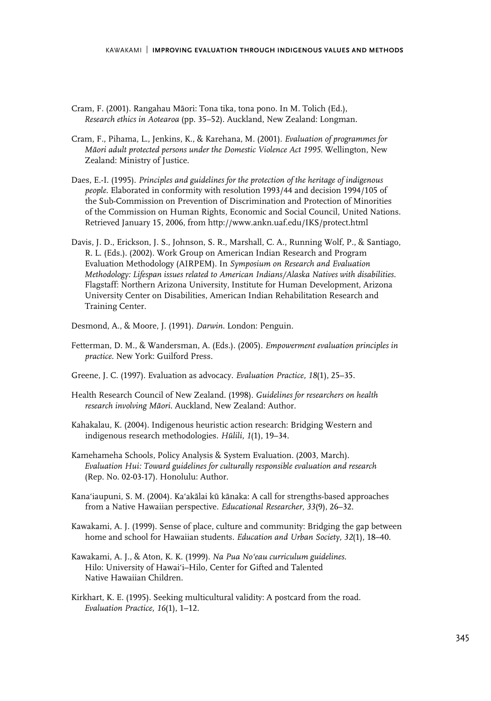- Cram, F. (2001). Rangahau Mäori: Tona tika, tona pono. In M. Tolich (Ed.), *Research ethics in Aotearoa* (pp. 35–52). Auckland, New Zealand: Longman.
- Cram, F., Pihama, L., Jenkins, K., & Karehana, M. (2001). *Evaluation of programmes for Mäori adult protected persons under the Domestic Violence Act 1995.* Wellington, New Zealand: Ministry of Justice.
- Daes, E.-I. (1995). *Principles and guidelines for the protection of the heritage of indigenous people.* Elaborated in conformity with resolution 1993/44 and decision 1994/105 of the Sub-Commission on Prevention of Discrimination and Protection of Minorities of the Commission on Human Rights, Economic and Social Council, United Nations. Retrieved January 15, 2006, from http://www.ankn.uaf.edu/IKS/protect.html
- Davis, J. D., Erickson, J. S., Johnson, S. R., Marshall, C. A., Running Wolf, P., & Santiago, R. L. (Eds.). (2002). Work Group on American Indian Research and Program Evaluation Methodology (AIRPEM). In *Symposium on Research and Evaluation Methodology: Lifespan issues related to American Indians/Alaska Natives with disabilities.*  Flagstaff: Northern Arizona University, Institute for Human Development, Arizona University Center on Disabilities, American Indian Rehabilitation Research and Training Center.
- Desmond, A., & Moore, J. (1991). *Darwin*. London: Penguin.
- Fetterman, D. M., & Wandersman, A. (Eds.). (2005). *Empowerment evaluation principles in practice.* New York: Guilford Press.
- Greene, J. C. (1997). Evaluation as advocacy. *Evaluation Practice, 18*(1), 25–35.
- Health Research Council of New Zealand. (1998). *Guidelines for researchers on health research involving Mäori*. Auckland, New Zealand: Author.
- Kahakalau, K. (2004). Indigenous heuristic action research: Bridging Western and indigenous research methodologies. *Hülili, 1*(1), 19–34.
- Kamehameha Schools, Policy Analysis & System Evaluation. (2003, March). *Evaluation Hui: Toward guidelines for culturally responsible evaluation and research*  (Rep. No. 02-03-17). Honolulu: Author.
- Kanaÿiaupuni, S. M. (2004). Kaÿakälai kü känaka: A call for strengths-based approaches from a Native Hawaiian perspective. *Educational Researcher, 33*(9), 26–32.
- Kawakami, A. J. (1999). Sense of place, culture and community: Bridging the gap between home and school for Hawaiian students. *Education and Urban Society, 32*(1), 18–40.
- Kawakami, A. J., & Aton, K. K. (1999). *Na Pua No'eau curriculum guidelines.*  Hilo: University of Hawai'i–Hilo, Center for Gifted and Talented Native Hawaiian Children.
- Kirkhart, K. E. (1995). Seeking multicultural validity: A postcard from the road. *Evaluation Practice, 16*(1), 1–12.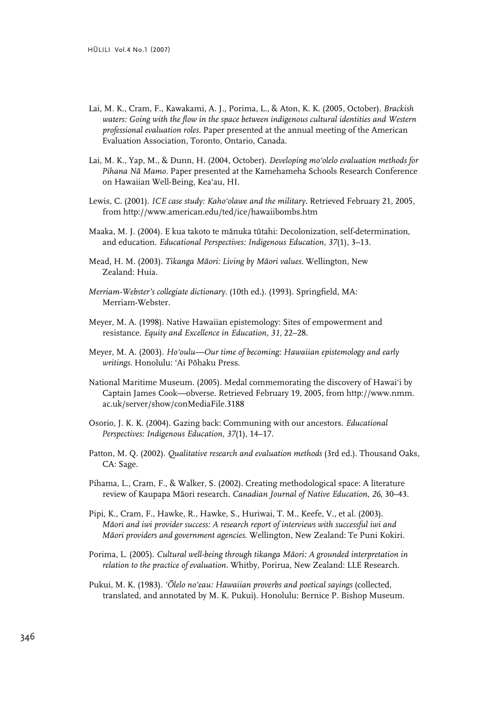- Lai, M. K., Cram, F., Kawakami, A. J., Porima, L., & Aton, K. K. (2005, October). *Brackish waters: Going with the flow in the space between indigenous cultural identities and Western professional evaluation roles.* Paper presented at the annual meeting of the American Evaluation Association, Toronto, Ontario, Canada.
- Lai, M. K., Yap, M., & Dunn, H. (2004, October). *Developing mo'olelo evaluation methods for Pihana Nä Mamo.* Paper presented at the Kamehameha Schools Research Conference on Hawaiian Well-Being, Kea'au, HI.
- Lewis, C. (2001). *ICE case study: Kaho'olawe and the military.* Retrieved February 21, 2005, from http://www.american.edu/ted/ice/hawaiibombs.htm
- Maaka, M. J. (2004). E kua takoto te mänuka tütahi: Decolonization, self-determination, and education. *Educational Perspectives: Indigenous Education, 37*(1), 3–13.
- Mead, H. M. (2003). *Tikanga Mäori: Living by Mäori values.* Wellington, New Zealand: Huia.
- *Merriam-Webster's collegiate dictionary.* (10th ed.). (1993). Springfield, MA: Merriam-Webster.
- Meyer, M. A. (1998). Native Hawaiian epistemology: Sites of empowerment and resistance. *Equity and Excellence in Education, 31,* 22–28.
- Meyer, M. A. (2003). *Ho'oulu—Our time of becoming: Hawaiian epistemology and early writings.* Honolulu: 'Ai Pöhaku Press.
- National Maritime Museum. (2005). Medal commemorating the discovery of Hawai'i by Captain James Cook—obverse. Retrieved February 19, 2005, from http://www.nmm. ac.uk/server/show/conMediaFile.3188
- Osorio, J. K. K. (2004). Gazing back: Communing with our ancestors. *Educational Perspectives: Indigenous Education, 37*(1), 14–17.
- Patton, M. Q. (2002). *Qualitative research and evaluation methods* (3rd ed.). Thousand Oaks, CA: Sage.
- Pihama, L., Cram, F., & Walker, S. (2002). Creating methodological space: A literature review of Kaupapa Mäori research. *Canadian Journal of Native Education, 26*, 30–43.
- Pipi, K., Cram, F., Hawke, R., Hawke, S., Huriwai, T. M., Keefe, V., et al. (2003). *Mäori and iwi provider success: A research report of interviews with successful iwi and Mäori providers and government agencies*. Wellington, New Zealand: Te Puni Kokiri.
- Porima, L. (2005). *Cultural well-being through tikanga Mäori: A grounded interpretation in relation to the practice of evaluation*. Whitby, Porirua, New Zealand: LLE Research.
- Pukui, M. K. (1983). *'Ölelo no'eau: Hawaiian proverbs and poetical sayings* (collected, translated, and annotated by M. K. Pukui). Honolulu: Bernice P. Bishop Museum.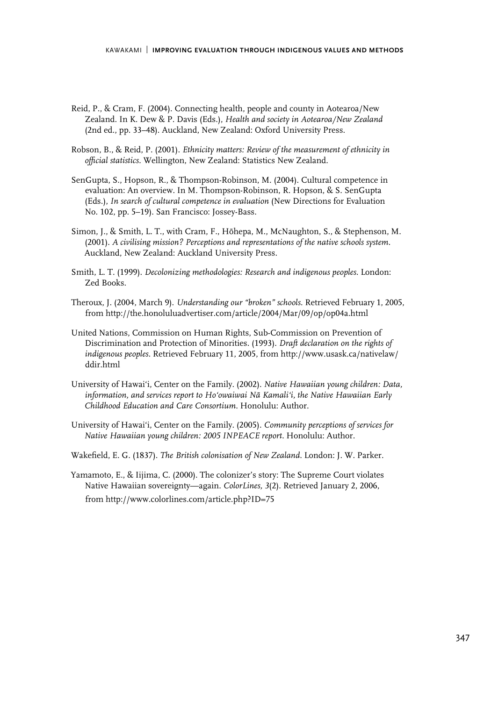- Reid, P., & Cram, F. (2004). Connecting health, people and county in Aotearoa/New Zealand. In K. Dew & P. Davis (Eds.), *Health and society in Aotearoa/New Zealand*  (2nd ed., pp. 33–48). Auckland, New Zealand: Oxford University Press.
- Robson, B., & Reid, P. (2001). *Ethnicity matters: Review of the measurement of ethnicity in official statistics.* Wellington, New Zealand: Statistics New Zealand.
- SenGupta, S., Hopson, R., & Thompson-Robinson, M. (2004). Cultural competence in evaluation: An overview. In M. Thompson-Robinson, R. Hopson, & S. SenGupta (Eds.), *In search of cultural competence in evaluation* (New Directions for Evaluation No. 102, pp. 5–19). San Francisco: Jossey-Bass.
- Simon, J., & Smith, L. T., with Cram, F., Höhepa, M., McNaughton, S., & Stephenson, M. (2001). *A civilising mission? Perceptions and representations of the native schools system.*  Auckland, New Zealand: Auckland University Press.
- Smith, L. T. (1999). *Decolonizing methodologies: Research and indigenous peoples.* London: Zed Books.
- Theroux, J. (2004, March 9). *Understanding our "broken" schools.* Retrieved February 1, 2005, from http://the.honoluluadvertiser.com/article/2004/Mar/09/op/op04a.html
- United Nations, Commission on Human Rights, Sub-Commission on Prevention of Discrimination and Protection of Minorities. (1993). *Draft declaration on the rights of indigenous peoples.* Retrieved February 11, 2005, from http://www.usask.ca/nativelaw/ ddir.html
- University of Hawai'i, Center on the Family. (2002). *Native Hawaiian young children: Data, information, and services report to Ho'owaiwai Nä Kamali'i, the Native Hawaiian Early Childhood Education and Care Consortium*. Honolulu: Author.
- University of Hawai'i, Center on the Family. (2005). *Community perceptions of services for Native Hawaiian young children: 2005 INPEACE report.* Honolulu: Author.
- Wakefield, E. G. (1837). *The British colonisation of New Zealand*. London: J. W. Parker.
- Yamamoto, E., & Iijima, C. (2000). The colonizer's story: The Supreme Court violates Native Hawaiian sovereignty—again. *ColorLines, 3*(2). Retrieved January 2, 2006, from http://www.colorlines.com/article.php?ID=75